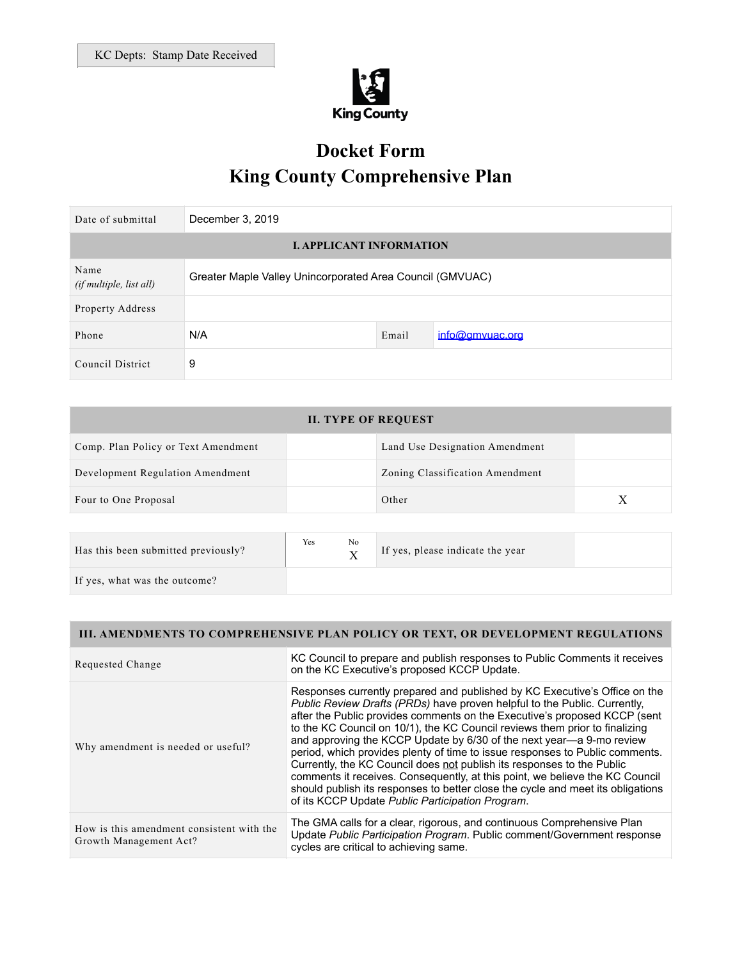

# **Docket Form King County Comprehensive Plan**

| Date of submittal                      | December 3, 2019                                          |       |                 |
|----------------------------------------|-----------------------------------------------------------|-------|-----------------|
| <b>I. APPLICANT INFORMATION</b>        |                                                           |       |                 |
| Name<br><i>(if multiple, list all)</i> | Greater Maple Valley Unincorporated Area Council (GMVUAC) |       |                 |
| Property Address                       |                                                           |       |                 |
| Phone                                  | N/A                                                       | Email | info@gmyuac.org |
| Council District                       | 9                                                         |       |                 |

| <b>II. TYPE OF REQUEST</b>          |  |                                 |   |
|-------------------------------------|--|---------------------------------|---|
| Comp. Plan Policy or Text Amendment |  | Land Use Designation Amendment  |   |
| Development Regulation Amendment    |  | Zoning Classification Amendment |   |
| Four to One Proposal                |  | Other                           | X |
|                                     |  |                                 |   |

| Has this been submitted previously? | Yes | No | If yes, please indicate the year |  |
|-------------------------------------|-----|----|----------------------------------|--|
| If yes, what was the outcome?       |     |    |                                  |  |

## **III. AMENDMENTS TO COMPREHENSIVE PLAN POLICY OR TEXT, OR DEVELOPMENT REGULATIONS**

| Requested Change                                                    | KC Council to prepare and publish responses to Public Comments it receives<br>on the KC Executive's proposed KCCP Update.                                                                                                                                                                                                                                                                                                                                                                                                                                                                                                                                                                                                                                                    |
|---------------------------------------------------------------------|------------------------------------------------------------------------------------------------------------------------------------------------------------------------------------------------------------------------------------------------------------------------------------------------------------------------------------------------------------------------------------------------------------------------------------------------------------------------------------------------------------------------------------------------------------------------------------------------------------------------------------------------------------------------------------------------------------------------------------------------------------------------------|
| Why amendment is needed or useful?                                  | Responses currently prepared and published by KC Executive's Office on the<br>Public Review Drafts (PRDs) have proven helpful to the Public. Currently,<br>after the Public provides comments on the Executive's proposed KCCP (sent<br>to the KC Council on 10/1), the KC Council reviews them prior to finalizing<br>and approving the KCCP Update by 6/30 of the next year—a 9-mo review<br>period, which provides plenty of time to issue responses to Public comments.<br>Currently, the KC Council does not publish its responses to the Public<br>comments it receives. Consequently, at this point, we believe the KC Council<br>should publish its responses to better close the cycle and meet its obligations<br>of its KCCP Update Public Participation Program. |
| How is this amendment consistent with the<br>Growth Management Act? | The GMA calls for a clear, rigorous, and continuous Comprehensive Plan<br>Update Public Participation Program. Public comment/Government response<br>cycles are critical to achieving same.                                                                                                                                                                                                                                                                                                                                                                                                                                                                                                                                                                                  |